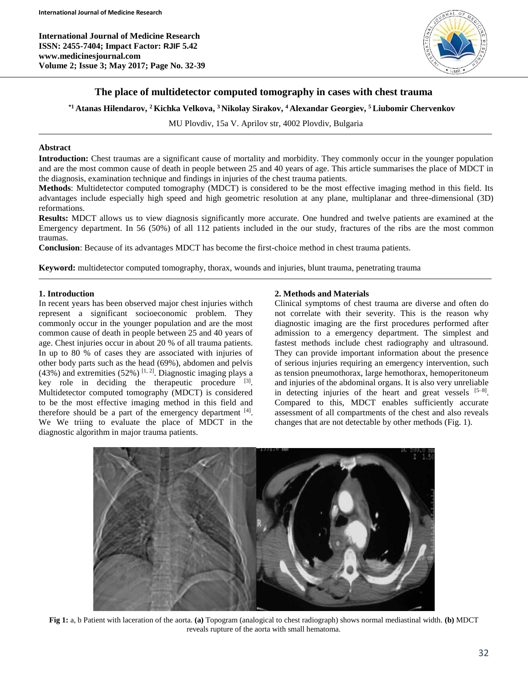**International Journal of Medicine Research ISSN: 2455-7404; Impact Factor: RJIF 5.42 www.medicinesjournal.com Volume 2; Issue 3; May 2017; Page No. 32-39**



## **The place of multidetector computed tomography in cases with chest trauma**

**\*1 Atanas Hilendarov, <sup>2</sup>Kichka Velkova, <sup>3</sup>Nikolay Sirakov, <sup>4</sup>Alexandar Georgiev, <sup>5</sup>Liubomir Chervenkov**

MU Plovdiv, 15a V. Aprilov str, 4002 Plovdiv, Bulgaria

### **Abstract**

**Introduction:** Chest traumas are a significant cause of mortality and morbidity. They commonly occur in the younger population and are the most common cause of death in people between 25 and 40 years of age. This article summarises the place of MDCT in the diagnosis, examination technique and findings in injuries of the chest trauma patients.

**Methods**: Multidetector computed tomography (MDCT) is considered to be the most effective imaging method in this field. Its advantages include especially high speed and high geometric resolution at any plane, multiplanar and three-dimensional (3D) reformations.

**Results:** MDCT allows us to view diagnosis significantly more accurate. One hundred and twelve patients are examined at the Emergency department. In 56 (50%) of all 112 patients included in the our study, fractures of the ribs are the most common traumas.

**Conclusion**: Because of its advantages MDCT has become the first-choice method in chest trauma patients.

**Keyword:** multidetector computed tomography, thorax, wounds and injuries, blunt trauma, penetrating trauma

### **1. Introduction**

In recent years has been observed major chest injuries withch represent a significant socioeconomic problem. They commonly occur in the younger population and are the most common cause of death in people between 25 and 40 years of age. Chest injuries occur in about 20 % of all trauma patients. In up to 80 % of cases they are associated with injuries of other body parts such as the head (69%), abdomen and pelvis  $(43%)$  and extremities  $(52%)$  [1, 2]. Diagnostic imaging plays a key role in deciding the therapeutic procedure  $[3]$ . Multidetector computed tomography (MDCT) is considered to be the most effective imaging method in this field and therefore should be a part of the emergency department  $[4]$ . We We triing to evaluate the place of MDCT in the diagnostic algorithm in major trauma patients.

### **2. Methods and Materials**

Clinical symptoms of chest trauma are diverse and often do not correlate with their severity. This is the reason why diagnostic imaging are the first procedures performed after admission to a emergency department. The simplest and fastest methods include chest radiography and ultrasound. They can provide important information about the presence of serious injuries requiring an emergency intervention, such as tension pneumothorax, large hemothorax, hemoperitoneum and injuries of the abdominal organs. It is also very unreliable in detecting injuries of the heart and great vessels  $[5-8]$ . Compared to this, MDCT enables sufficiently accurate assessment of all compartments of the chest and also reveals changes that are not detectable by other methods (Fig. 1).



**Fig 1:** a, b Patient with laceration of the aorta. **(a)** Topogram (analogical to chest radiograph) shows normal mediastinal width. **(b)** MDCT reveals rupture of the aorta with small hematoma.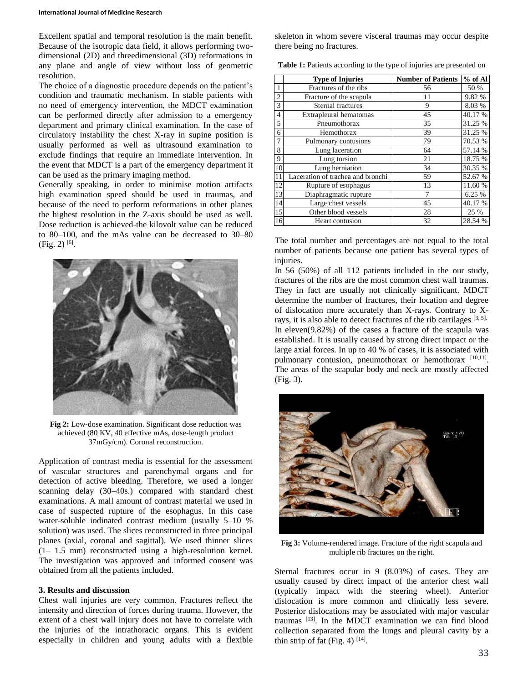Excellent spatial and temporal resolution is the main benefit. Because of the isotropic data field, it allows performing twodimensional (2D) and threedimensional (3D) reformations in any plane and angle of view without loss of geometric resolution.

The choice of a diagnostic procedure depends on the patient's condition and traumatic mechanism. In stable patients with no need of emergency intervention, the MDCT examination can be performed directly after admission to a emergency department and primary clinical examination. In the case of circulatory instability the chest X-ray in supine position is usually performed as well as ultrasound examination to exclude findings that require an immediate intervention. In the event that MDCT is a part of the emergency department it can be used as the primary imaging method.

Generally speaking, in order to minimise motion artifacts high examination speed should be used in traumas, and because of the need to perform reformations in other planes the highest resolution in the Z-axis should be used as well. Dose reduction is achieved-the kilovolt value can be reduced to 80–100, and the mAs value can be decreased to 30–80  $(Fig. 2)$ <sup>[6]</sup>.



**Fig 2:** Low-dose examination. Significant dose reduction was achieved (80 KV, 40 effective mAs, dose-length product 37mGy/cm). Coronal reconstruction.

Application of contrast media is essential for the assessment of vascular structures and parenchymal organs and for detection of active bleeding. Therefore, we used a longer scanning delay (30–40s.) compared with standard chest examinations. A mall amount of contrast material we used in case of suspected rupture of the esophagus. In this case water-soluble iodinated contrast medium (usually 5–10 % solution) was used. The slices reconstructed in three principal planes (axial, coronal and sagittal). We used thinner slices  $(1 - 1.5 \text{ mm})$  reconstructed using a high-resolution kernel. The investigation was approved and informed consent was obtained from all the patients included.

### **3. Results and discussion**

Chest wall injuries are very common. Fractures reflect the intensity and direction of forces during trauma. However, the extent of a chest wall injury does not have to correlate with the injuries of the intrathoracic organs. This is evident especially in children and young adults with a flexible skeleton in whom severe visceral traumas may occur despite there being no fractures.

|                 | <b>Type of Injuries</b>           | <b>Number of Patients</b> | % of Al |
|-----------------|-----------------------------------|---------------------------|---------|
|                 | Fractures of the ribs             | 56                        | 50 %    |
| $\overline{2}$  | Fracture of the scapula           | 11                        | 9.82 %  |
| 3               | Sternal fractures                 | 9                         | 8.03 %  |
| $\overline{4}$  | Extrapleural hematomas            | 45                        | 40.17 % |
| 5               | Pneumothorax                      | 35                        | 31.25 % |
| 6               | Hemothorax                        | 39                        | 31.25 % |
| 7               | Pulmonary contusions              | 79                        | 70.53 % |
| 8               | Lung laceration                   | 64                        | 57.14 % |
| 9               | Lung torsion                      | 21                        | 18.75 % |
| 10              | Lung herniation                   | 34                        | 30.35 % |
| 11              | Laceration of trachea and bronchi | 59                        | 52.67 % |
| 12              | Rupture of esophagus              | 13                        | 11.60 % |
| 13              | Diaphragmatic rupture             |                           | 6.25 %  |
| 14              | Large chest vessels               | 45                        | 40.17 % |
| $\overline{15}$ | Other blood vessels               | 28                        | 25 %    |
| 16              | Heart contusion                   | 32                        | 28.54 % |

The total number and percentages are not equal to the total number of patients because one patient has several types of injuries.

In 56 (50%) of all 112 patients included in the our study, fractures of the ribs are the most common chest wall traumas. They in fact are usually not clinically significant. MDCT determine the number of fractures, their location and degree of dislocation more accurately than X-rays. Contrary to Xrays, it is also able to detect fractures of the rib cartilages [3, 5]. In eleven(9.82%) of the cases a fracture of the scapula was established. It is usually caused by strong direct impact or the large axial forces. In up to 40 % of cases, it is associated with pulmonary contusion, pneumothorax or hemothorax [10,11]. The areas of the scapular body and neck are mostly affected (Fig. 3).



**Fig 3:** Volume-rendered image. Fracture of the right scapula and multiple rib fractures on the right.

Sternal fractures occur in 9 (8.03%) of cases. They are usually caused by direct impact of the anterior chest wall (typically impact with the steering wheel). Anterior dislocation is more common and clinically less severe. Posterior dislocations may be associated with major vascular traumas [13]. In the MDCT examination we can find blood collection separated from the lungs and pleural cavity by a thin strip of fat (Fig. 4)  $^{[14]}$ .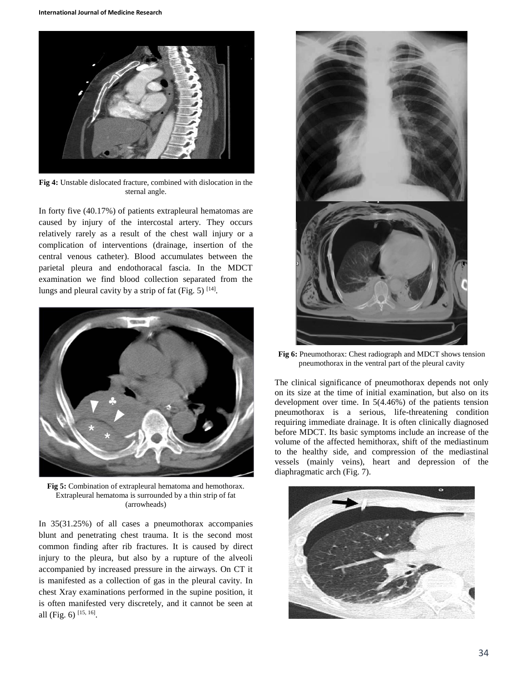

**Fig 4:** Unstable dislocated fracture, combined with dislocation in the sternal angle.

In forty five (40.17%) of patients extrapleural hematomas are caused by injury of the intercostal artery. They occurs relatively rarely as a result of the chest wall injury or a complication of interventions (drainage, insertion of the central venous catheter). Blood accumulates between the parietal pleura and endothoracal fascia. In the MDCT examination we find blood collection separated from the lungs and pleural cavity by a strip of fat (Fig. 5)  $^{[14]}$ .



**Fig 5:** Combination of extrapleural hematoma and hemothorax. Extrapleural hematoma is surrounded by a thin strip of fat (arrowheads)

In 35(31.25%) of all cases a pneumothorax accompanies blunt and penetrating chest trauma. It is the second most common finding after rib fractures. It is caused by direct injury to the pleura, but also by a rupture of the alveoli accompanied by increased pressure in the airways. On CT it is manifested as a collection of gas in the pleural cavity. In chest Xray examinations performed in the supine position, it is often manifested very discretely, and it cannot be seen at all (Fig. 6)  $[15, 16]$ .



**Fig 6:** Pneumothorax: Chest radiograph and MDCT shows tension pneumothorax in the ventral part of the pleural cavity

The clinical significance of pneumothorax depends not only on its size at the time of initial examination, but also on its development over time. In 5(4.46%) of the patients tension pneumothorax is a serious, life-threatening condition requiring immediate drainage. It is often clinically diagnosed before MDCT. Its basic symptoms include an increase of the volume of the affected hemithorax, shift of the mediastinum to the healthy side, and compression of the mediastinal vessels (mainly veins), heart and depression of the diaphragmatic arch (Fig. 7).

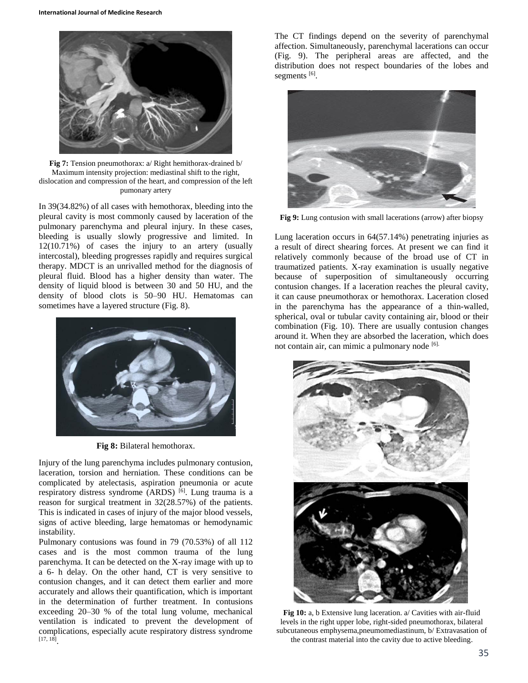

**Fig 7:** Tension pneumothorax: a/ Right hemithorax-drained b/ Maximum intensity projection: mediastinal shift to the right, dislocation and compression of the heart, and compression of the left pumonary artery

In 39(34.82%) of all cases with hemothorax, bleeding into the pleural cavity is most commonly caused by laceration of the pulmonary parenchyma and pleural injury. In these cases, bleeding is usually slowly progressive and limited. In 12(10.71%) of cases the injury to an artery (usually intercostal), bleeding progresses rapidly and requires surgical therapy. MDCT is an unrivalled method for the diagnosis of pleural fluid. Blood has a higher density than water. The density of liquid blood is between 30 and 50 HU, and the density of blood clots is 50–90 HU. Hematomas can sometimes have a layered structure (Fig. 8).



**Fig 8:** Bilateral hemothorax.

Injury of the lung parenchyma includes pulmonary contusion, laceration, torsion and herniation. These conditions can be complicated by atelectasis, aspiration pneumonia or acute respiratory distress syndrome (ARDS)  $[6]$ . Lung trauma is a reason for surgical treatment in 32(28.57%) of the patients. This is indicated in cases of injury of the major blood vessels, signs of active bleeding, large hematomas or hemodynamic instability.

Pulmonary contusions was found in 79 (70.53%) of all 112 cases and is the most common trauma of the lung parenchyma. It can be detected on the X-ray image with up to a 6- h delay. On the other hand, CT is very sensitive to contusion changes, and it can detect them earlier and more accurately and allows their quantification, which is important in the determination of further treatment. In contusions exceeding 20–30 % of the total lung volume, mechanical ventilation is indicated to prevent the development of complications, especially acute respiratory distress syndrome [17, 18] .

The CT findings depend on the severity of parenchymal affection. Simultaneously, parenchymal lacerations can occur (Fig. 9). The peripheral areas are affected, and the distribution does not respect boundaries of the lobes and segments [6].



**Fig 9:** Lung contusion with small lacerations (arrow) after biopsy

Lung laceration occurs in 64(57.14%) penetrating injuries as a result of direct shearing forces. At present we can find it relatively commonly because of the broad use of CT in traumatized patients. X-ray examination is usually negative because of superposition of simultaneously occurring contusion changes. If a laceration reaches the pleural cavity, it can cause pneumothorax or hemothorax. Laceration closed in the parenchyma has the appearance of a thin-walled, spherical, oval or tubular cavity containing air, blood or their combination (Fig. 10). There are usually contusion changes around it. When they are absorbed the laceration, which does not contain air, can mimic a pulmonary node [6].



**Fig 10:** a, b Extensive lung laceration. a/ Cavities with air-fluid levels in the right upper lobe, right-sided pneumothorax, bilateral subcutaneous emphysema,pneumomediastinum, b/ Extravasation of the contrast material into the cavity due to active bleeding.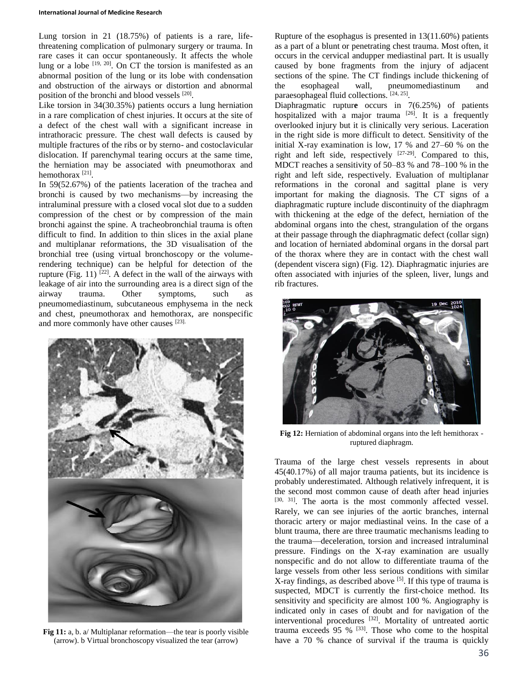#### **International Journal of Medicine Research**

Lung torsion in 21 (18.75%) of patients is a rare, lifethreatening complication of pulmonary surgery or trauma. In rare cases it can occur spontaneously. It affects the whole lung or a lobe  $[19, 20]$ . On CT the torsion is manifested as an abnormal position of the lung or its lobe with condensation and obstruction of the airways or distortion and abnormal position of the bronchi and blood vessels [20].

Like torsion in 34(30.35%) patients occurs a lung herniation in a rare complication of chest injuries. It occurs at the site of a defect of the chest wall with a significant increase in intrathoracic pressure. The chest wall defects is caused by multiple fractures of the ribs or by sterno- and costoclavicular dislocation. If parenchymal tearing occurs at the same time, the herniation may be associated with pneumothorax and hemothorax<sup>[21]</sup>.

In 59(52.67%) of the patients laceration of the trachea and bronchi is caused by two mechanisms—by increasing the intraluminal pressure with a closed vocal slot due to a sudden compression of the chest or by compression of the main bronchi against the spine. A tracheobronchial trauma is often difficult to find. In addition to thin slices in the axial plane and multiplanar reformations, the 3D visualisation of the bronchial tree (using virtual bronchoscopy or the volumerendering technique) can be helpful for detection of the rupture (Fig. 11)  $[22]$ . A defect in the wall of the airways with leakage of air into the surrounding area is a direct sign of the airway trauma. Other symptoms, such as pneumomediastinum, subcutaneous emphysema in the neck and chest, pneumothorax and hemothorax, are nonspecific and more commonly have other causes [23].



**Fig 11:** a, b. a/ Multiplanar reformation—the tear is poorly visible (arrow). b Virtual bronchoscopy visualized the tear (arrow)

Rupture of the esophagus is presented in 13(11.60%) patients as a part of a blunt or penetrating chest trauma. Most often, it occurs in the cervical andupper mediastinal part. It is usually caused by bone fragments from the injury of adjacent sections of the spine. The CT findings include thickening of the esophageal wall, pneumomediastinum and paraesophageal fluid collections. [24, 25].

Diaphragmatic ruptur**e** occurs in 7(6.25%) of patients hospitalized with a major trauma  $[26]$ . It is a frequently overlooked injury but it is clinically very serious. Laceration in the right side is more difficult to detect. Sensitivity of the initial X-ray examination is low, 17 % and 27–60 % on the right and left side, respectively [27-29]. Compared to this, MDCT reaches a sensitivity of 50–83 % and 78–100 % in the right and left side, respectively. Evaluation of multiplanar reformations in the coronal and sagittal plane is very important for making the diagnosis. The CT signs of a diaphragmatic rupture include discontinuity of the diaphragm with thickening at the edge of the defect, herniation of the abdominal organs into the chest, strangulation of the organs at their passage through the diaphragmatic defect (collar sign) and location of herniated abdominal organs in the dorsal part of the thorax where they are in contact with the chest wall (dependent viscera sign) (Fig. 12). Diaphragmatic injuries are often associated with injuries of the spleen, liver, lungs and rib fractures.



**Fig 12:** Herniation of abdominal organs into the left hemithorax ruptured diaphragm.

Trauma of the large chest vessels represents in about 45(40.17%) of all major trauma patients, but its incidence is probably underestimated. Although relatively infrequent, it is the second most common cause of death after head injuries [30, 31]. The aorta is the most commonly affected vessel. Rarely, we can see injuries of the aortic branches, internal thoracic artery or major mediastinal veins. In the case of a blunt trauma, there are three traumatic mechanisms leading to the trauma—deceleration, torsion and increased intraluminal pressure. Findings on the X-ray examination are usually nonspecific and do not allow to differentiate trauma of the large vessels from other less serious conditions with similar X-ray findings, as described above <sup>[5]</sup>. If this type of trauma is suspected, MDCT is currently the first-choice method. Its sensitivity and specificity are almost 100 %. Angiography is indicated only in cases of doubt and for navigation of the interventional procedures [32]. Mortality of untreated aortic trauma exceeds  $95\%$  <sup>[33]</sup>. Those who come to the hospital have a 70 % chance of survival if the trauma is quickly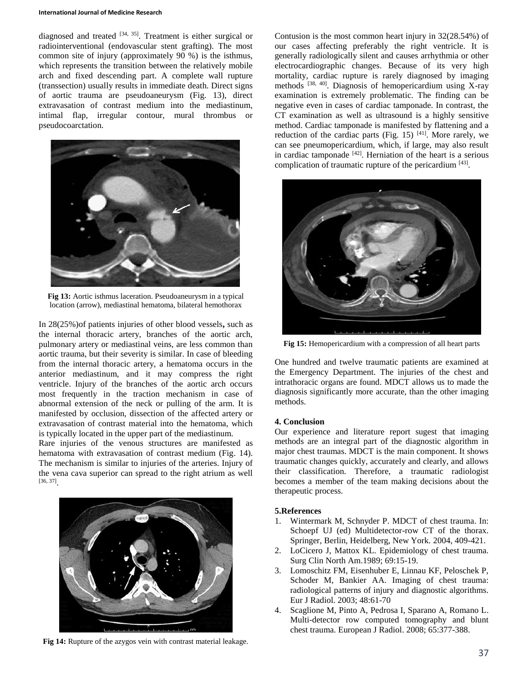#### **International Journal of Medicine Research**

diagnosed and treated  $[34, 35]$ . Treatment is either surgical or radiointerventional (endovascular stent grafting). The most common site of injury (approximately 90 %) is the isthmus, which represents the transition between the relatively mobile arch and fixed descending part. A complete wall rupture (transsection) usually results in immediate death. Direct signs of aortic trauma are pseudoaneurysm (Fig. 13), direct extravasation of contrast medium into the mediastinum, intimal flap, irregular contour, mural thrombus or pseudocoarctation.



**Fig 13:** Aortic isthmus laceration. Pseudoaneurysm in a typical location (arrow), mediastinal hematoma, bilateral hemothorax

In 28(25%)of patients injuries of other blood vessels**,** such as the internal thoracic artery, branches of the aortic arch, pulmonary artery or mediastinal veins, are less common than aortic trauma, but their severity is similar. In case of bleeding from the internal thoracic artery, a hematoma occurs in the anterior mediastinum, and it may compress the right ventricle. Injury of the branches of the aortic arch occurs most frequently in the traction mechanism in case of abnormal extension of the neck or pulling of the arm. It is manifested by occlusion, dissection of the affected artery or extravasation of contrast material into the hematoma, which is typically located in the upper part of the mediastinum.

Rare injuries of the venous structures are manifested as hematoma with extravasation of contrast medium (Fig. 14). The mechanism is similar to injuries of the arteries. Injury of the vena cava superior can spread to the right atrium as well [36, 37] .



**Fig 14:** Rupture of the azygos vein with contrast material leakage.

Contusion is the most common heart injury in 32(28.54%) of our cases affecting preferably the right ventricle. It is generally radiologically silent and causes arrhythmia or other electrocardiographic changes. Because of its very high mortality, cardiac rupture is rarely diagnosed by imaging methods  $[38, 40]$ . Diagnosis of hemopericardium using X-ray examination is extremely problematic. The finding can be negative even in cases of cardiac tamponade. In contrast, the CT examination as well as ultrasound is a highly sensitive method. Cardiac tamponade is manifested by flattening and a reduction of the cardiac parts (Fig. 15)  $[41]$ . More rarely, we can see pneumopericardium, which, if large, may also result in cardiac tamponade [42] . Herniation of the heart is a serious complication of traumatic rupture of the pericardium [43].



**Fig 15:** Hemopericardium with a compression of all heart parts

One hundred and twelve traumatic patients are examined at the Emergency Department. The injuries of the chest and intrathoracic organs are found. MDCT allows us to made the diagnosis significantly more accurate, than the other imaging methods.

## **4. Conclusion**

Our experience and literature report sugest that imaging methods are an integral part of the diagnostic algorithm in major chest traumas. MDCT is the main component. It shows traumatic changes quickly, accurately and clearly, and allows their classification. Therefore, a traumatic radiologist becomes a member of the team making decisions about the therapeutic process.

# **5.References**

- 1. Wintermark M, Schnyder P. MDCT of chest trauma. In: Schoepf UJ (ed) Multidetector-row CT of the thorax. Springer, Berlin, Heidelberg, New York. 2004, 409-421.
- 2. LoCicero J, Mattox KL. Epidemiology of chest trauma. Surg Clin North Am.1989; 69:15-19.
- 3. Lomoschitz FM, Eisenhuber E, Linnau KF, Peloschek P, Schoder M, Bankier AA. Imaging of chest trauma: radiological patterns of injury and diagnostic algorithms. Eur J Radiol. 2003; 48:61-70
- 4. Scaglione M, Pinto A, Pedrosa I, Sparano A, Romano L. Multi-detector row computed tomography and blunt chest trauma. European J Radiol. 2008; 65:377-388.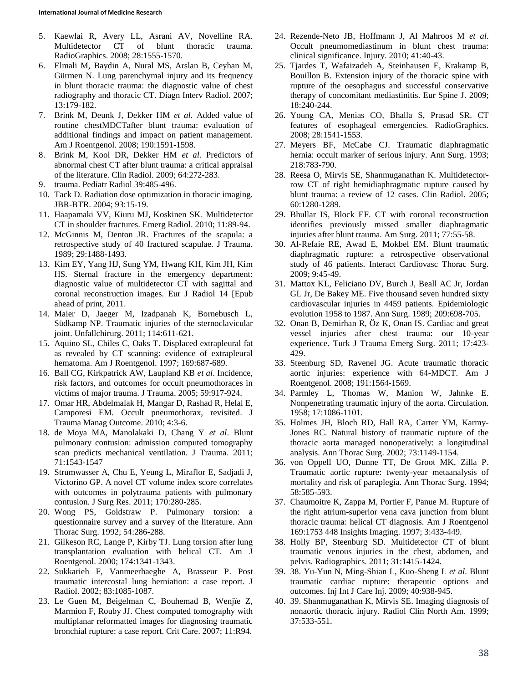- 5. Kaewlai R, Avery LL, Asrani AV, Novelline RA. Multidetector CT of blunt thoracic trauma. RadioGraphics. 2008; 28:1555-1570.
- 6. Elmali M, Baydin A, Nural MS, Arslan B, Ceyhan M, Gürmen N. Lung parenchymal injury and its frequency in blunt thoracic trauma: the diagnostic value of chest radiography and thoracic CT. Diagn Interv Radiol. 2007; 13:179-182.
- 7. Brink M, Deunk J, Dekker HM *et al*. Added value of routine chestMDCTafter blunt trauma: evaluation of additional findings and impact on patient management. Am J Roentgenol. 2008; 190:1591-1598.
- 8. Brink M, Kool DR, Dekker HM *et al.* Predictors of abnormal chest CT after blunt trauma: a critical appraisal of the literature. Clin Radiol. 2009; 64:272-283.
- 9. trauma. Pediatr Radiol 39:485-496.
- 10. Tack D. Radiation dose optimization in thoracic imaging. JBR-BTR. 2004; 93:15-19.
- 11. Haapamaki VV, Kiuru MJ, Koskinen SK. Multidetector CT in shoulder fractures. Emerg Radiol. 2010; 11:89-94.
- 12. McGinnis M, Denton JR. Fractures of the scapula: a retrospective study of 40 fractured scapulae. J Trauma. 1989; 29:1488-1493.
- 13. Kim EY, Yang HJ, Sung YM, Hwang KH, Kim JH, Kim HS. Sternal fracture in the emergency department: diagnostic value of multidetector CT with sagittal and coronal reconstruction images. Eur J Radiol 14 [Epub ahead of print, 2011.
- 14. Maier D, Jaeger M, Izadpanah K, Bornebusch L, Südkamp NP. Traumatic injuries of the sternoclavicular joint. Unfallchirurg. 2011; 114:611-621.
- 15. Aquino SL, Chiles C, Oaks T. Displaced extrapleural fat as revealed by CT scanning: evidence of extrapleural hematoma. Am J Roentgenol. 1997; 169:687-689.
- 16. Ball CG, Kirkpatrick AW, Laupland KB *et al*. Incidence, risk factors, and outcomes for occult pneumothoraces in victims of major trauma. J Trauma. 2005; 59:917-924.
- 17. Omar HR, Abdelmalak H, Mangar D, Rashad R, Helal E, Camporesi EM. Occult pneumothorax, revisited. J Trauma Manag Outcome. 2010; 4:3-6.
- 18. de Moya MA, Manolakaki D, Chang Y *et al*. Blunt pulmonary contusion: admission computed tomography scan predicts mechanical ventilation. J Trauma. 2011; 71:1543-1547
- 19. Strumwasser A, Chu E, Yeung L, Miraflor E, Sadjadi J, Victorino GP. A novel CT volume index score correlates with outcomes in polytrauma patients with pulmonary contusion. J Surg Res. 2011; 170:280-285.
- 20. Wong PS, Goldstraw P. Pulmonary torsion: a questionnaire survey and a survey of the literature. Ann Thorac Surg. 1992; 54:286-288.
- 21. Gilkeson RC, Lange P, Kirby TJ. Lung torsion after lung transplantation evaluation with helical CT. Am J Roentgenol. 2000; 174:1341-1343.
- 22. Sukkarieh F, Vanmeerhaeghe A, Brasseur P. Post traumatic intercostal lung herniation: a case report. J Radiol. 2002; 83:1085-1087.
- 23. Le Guen M, Beigelman C, Bouhemad B, Wenjïe Z, Marmion F, Rouby JJ. Chest computed tomography with multiplanar reformatted images for diagnosing traumatic bronchial rupture: a case report. Crit Care. 2007; 11:R94.
- 24. Rezende-Neto JB, Hoffmann J, Al Mahroos M *et al*. Occult pneumomediastinum in blunt chest trauma: clinical significance. Injury. 2010; 41:40-43.
- 25. Tjardes T, Wafaizadeh A, Steinhausen E, Krakamp B, Bouillon B. Extension injury of the thoracic spine with rupture of the oesophagus and successful conservative therapy of concomitant mediastinitis. Eur Spine J. 2009; 18:240-244.
- 26. Young CA, Menias CO, Bhalla S, Prasad SR. CT features of esophageal emergencies. RadioGraphics. 2008; 28:1541-1553.
- 27. Meyers BF, McCabe CJ. Traumatic diaphragmatic hernia: occult marker of serious injury. Ann Surg. 1993; 218:783-790.
- 28. Reesa O, Mirvis SE, Shanmuganathan K. Multidetectorrow CT of right hemidiaphragmatic rupture caused by blunt trauma: a review of 12 cases. Clin Radiol. 2005; 60:1280-1289.
- 29. Bhullar IS, Block EF. CT with coronal reconstruction identifies previously missed smaller diaphragmatic injuries after blunt trauma. Am Surg. 2011; 77:55-58.
- 30. Al-Refaie RE, Awad E, Mokbel EM. Blunt traumatic diaphragmatic rupture: a retrospective observational study of 46 patients. Interact Cardiovasc Thorac Surg. 2009; 9:45-49.
- 31. Mattox KL, Feliciano DV, Burch J, Beall AC Jr, Jordan GL Jr, De Bakey ME. Five thousand seven hundred sixty cardiovascular injuries in 4459 patients. Epidemiologic evolution 1958 to 1987. Ann Surg. 1989; 209:698-705.
- 32. Onan B, Demirhan R, Öz K, Onan IS. Cardiac and great vessel injuries after chest trauma: our 10-year experience. Turk J Trauma Emerg Surg. 2011; 17:423- 429.
- 33. Steenburg SD, Ravenel JG. Acute traumatic thoracic aortic injuries: experience with 64-MDCT. Am J Roentgenol. 2008; 191:1564-1569.
- 34. Parmley L, Thomas W, Manion W, Jahnke E. Nonpenetrating traumatic injury of the aorta. Circulation. 1958; 17:1086-1101.
- 35. Holmes JH, Bloch RD, Hall RA, Carter YM, Karmy-Jones RC. Natural history of traumatic rupture of the thoracic aorta managed nonoperatively: a longitudinal analysis. Ann Thorac Surg. 2002; 73:1149-1154.
- 36. von Oppell UO, Dunne TT, De Groot MK, Zilla P. Traumatic aortic rupture: twenty-year metaanalysis of mortality and risk of paraplegia. Ann Thorac Surg. 1994; 58:585-593.
- 37. Chaumoitre K, Zappa M, Portier F, Panue M. Rupture of the right atrium-superior vena cava junction from blunt thoracic trauma: helical CT diagnosis. Am J Roentgenol 169:1753 448 Insights Imaging. 1997; 3:433-449.
- 38. Holly BP, Steenburg SD. Multidetector CT of blunt traumatic venous injuries in the chest, abdomen, and pelvis. Radiographics. 2011; 31:1415-1424.
- 39. 38. Yu-Yun N, Ming-Shian L, Kuo-Sheng L *et al*. Blunt traumatic cardiac rupture: therapeutic options and outcomes. Inj Int J Care Inj. 2009; 40:938-945.
- 40. 39. Shanmuganathan K, Mirvis SE. Imaging diagnosis of nonaortic thoracic injury. Radiol Clin North Am. 1999; 37:533-551.